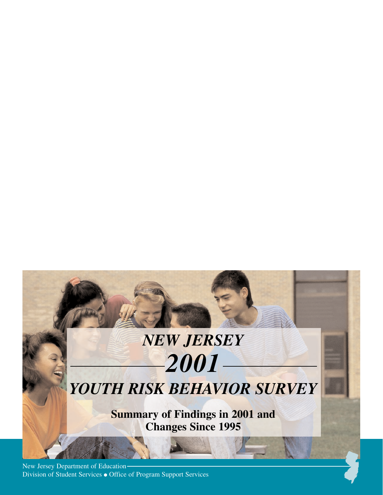# *NEW JERSEY 2001*

# *YOUTH RISK BEHAVIOR SURVEY*

**Summary of Findings in 2001 and Changes Since 1995**

New Jersey Department of Education Division of Student Services ● Office of Program Support Services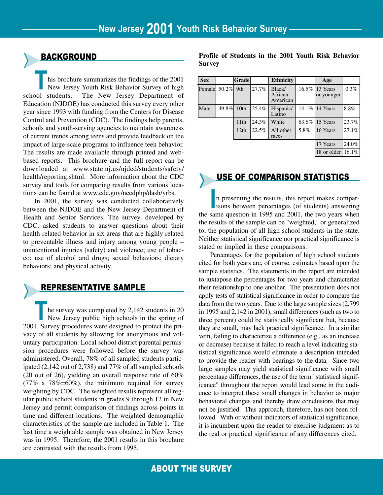#### ➤BACKGROUND

**This brochure summarizes the findings of the 2001<br>New Jersey Youth Risk Behavior Survey of high<br>school students. The New Jersey Department of** New Jersey Youth Risk Behavior Survey of high The New Jersey Department of Education (NJDOE) has conducted this survey every other year since 1993 with funding from the Centers for Disease Control and Prevention (CDC). The findings help parents, schools and youth-serving agencies to maintain awareness of current trends among teens and provide feedback on the impact of large-scale programs to influence teen behavior. The results are made available through printed and webbased reports. This brochure and the full report can be downloaded at www.state.nj.us/njded/students/safety/ health/reporting.shtml. More information about the CDC survey and tools for comparing results from various locations can be found at www.cdc.gov/nccdphp/dash/yrbs.

In 2001, the survey was conducted collaboratively between the NJDOE and the New Jersey Department of Health and Senior Services. The survey, developed by CDC, asked students to answer questions about their health-related behavior in six areas that are highly related to preventable illness and injury among young people – unintentional injuries (safety) and violence; use of tobacco; use of alcohol and drugs; sexual behaviors; dietary behaviors; and physical activity.

#### ➤REPRESENTATIVE SAMPLE

he survey was completed by 2,142 students in 20 New Jersey public high schools in the spring of 2001. Survey procedures were designed to protect the privacy of all students by allowing for anonymous and voluntary participation. Local school district parental permission procedures were followed before the survey was administered. Overall, 78% of all sampled students participated (2,142 out of 2,738) and 77% of all sampled schools (20 out of 26), yielding an overall response rate of 60% (77% x 78%=60%), the minimum required for survey weighting by CDC. The weighted results represent all regular public school students in grades 9 through 12 in New Jersey and permit comparison of findings across points in time and different locations. The weighted demographic characteristics of the sample are included in Table 1. The last time a weightable sample was obtained in New Jersey was in 1995. Therefore, the 2001 results in this brochure are contrasted with the results from 1995.

**Profile of Students in the 2001 Youth Risk Behavior Survey** 

| <b>Sex</b> |       | <b>Grade</b> |       | <b>Ethnicity</b>              |       | Age                          |          |
|------------|-------|--------------|-------|-------------------------------|-------|------------------------------|----------|
| Femalel    | 50.2% | 9th          | 27.7% | Black/<br>African<br>American |       | 16.5% 13 Years<br>or younger | 0.3%     |
| Male       | 49.8% | 10th         | 25.4% | Hispanic/<br>Latino           |       | 14.1% 14 Years               | 8.8%     |
|            |       | 11th         | 24.3% | White                         | 63.6% | 15 Years                     | 23.7%    |
|            |       | 12th         | 22.5% | All other<br>races            | 5.8%  | 16 Years                     | 27.1%    |
|            |       |              |       |                               |       | 17 Years                     | 24.0%    |
|            |       |              |       |                               |       | 18 or older                  | $16.1\%$ |

## USE OF COMPARISON STATISTICS

In presenting the results, this report makes compar-<br>isons between percentages (of students) answering<br>same question in 1005 and 2001, the two years when n presenting the results, this report makes comparthe same question in 1995 and 2001, the two years when the results of the sample can be "weighted," or generalized to, the population of all high school students in the state. Neither statistical significance nor practical significance is stated or implied in these comparisons.

Percentages for the population of high school students cited for both years are, of course, estimates based upon the sample statistics. The statements in the report are intended to juxtapose the percentages for two years and characterize their relationship to one another. The presentation does not apply tests of statistical significance in order to compare the data from the two years. Due to the large sample sizes (2,799 in 1995 and 2,142 in 2001), small differences (such as two to three percent) could be statistically significant but, because they are small, may lack practical significance. In a similar vein, failing to characterize a difference (e.g., as an increase or decrease) because it failed to reach a level indicating statistical significance would eliminate a description intended to provide the reader with bearings to the data. Since two large samples may yield statistical significance with small percentage differences, the use of the term "statistical significance" throughout the report would lead some in the audience to interpret these small changes in behavior as major behavioral changes and thereby draw conclusions that may not be justified. This approach, therefore, has not been followed. With or without indicators of statistical significance, it is incumbent upon the reader to exercise judgment as to the real or practical significance of any differences cited.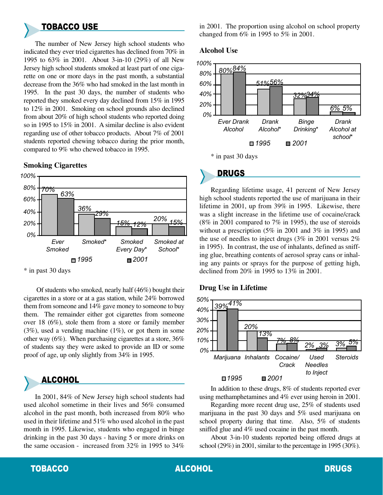# ➤TOBACCO USE

The number of New Jersey high school students who indicated they ever tried cigarettes has declined from 70% in 1995 to 63% in 2001. About 3-in-10 (29%) of all New Jersey high school students smoked at least part of one cigarette on one or more days in the past month, a substantial decrease from the 36% who had smoked in the last month in 1995. In the past 30 days, the number of students who reported they smoked every day declined from 15% in 1995 to 12% in 2001. Smoking on school grounds also declined from about 20% of high school students who reported doing so in 1995 to 15% in 2001. A similar decline is also evident regarding use of other tobacco products. About 7% of 2001 students reported chewing tobacco during the prior month, compared to 9% who chewed tobacco in 1995.

#### **70% 63% 36% 29% 15% 12% 20% 15%** 0% 20% 40% 60% 80% 100% Ever Smoked Smoked\* Smoked Every Day\* Smoked at School\*  $\Box$  1995  $\Box$  2001

#### **Smoking Cigarettes**

\* in past 30 days

Of students who smoked, nearly half (46%) bought their cigarettes in a store or at a gas station, while 24% borrowed them from someone and 14% gave money to someone to buy them. The remainder either got cigarettes from someone over 18 (6%), stole them from a store or family member  $(3\%)$ , used a vending machine  $(1\%)$ , or got them in some other way (6%). When purchasing cigarettes at a store, 36% of students say they were asked to provide an ID or some proof of age, up only slightly from 34% in 1995.

# ➤ALCOHOL

In 2001, 84% of New Jersey high school students had used alcohol sometime in their lives and 56% consumed alcohol in the past month, both increased from 80% who used in their lifetime and 51% who used alcohol in the past month in 1995. Likewise, students who engaged in binge drinking in the past 30 days - having 5 or more drinks on the same occasion - increased from 32% in 1995 to 34% in 2001. The proportion using alcohol on school property changed from 6% in 1995 to 5% in 2001.

#### **Alcohol Use**



# ➤DRUGS

Regarding lifetime usage, 41 percent of New Jersey high school students reported the use of marijuana in their lifetime in 2001, up from 39% in 1995. Likewise, there was a slight increase in the lifetime use of cocaine/crack (8% in 2001 compared to 7% in 1995), the use of steroids without a prescription (5% in 2001 and 3% in 1995) and the use of needles to inject drugs (3% in 2001 versus 2% in 1995). In contrast, the use of inhalants, defined as sniffing glue, breathing contents of aerosol spray cans or inhaling any paints or sprays for the purpose of getting high, declined from 20% in 1995 to 13% in 2001.

#### **Drug Use in Lifetime**



In addition to these drugs, 8% of students reported ever using methamphetamines and 4% ever using heroin in 2001.

Regarding more recent drug use, 25% of students used marijuana in the past 30 days and 5% used marijuana on school property during that time. Also, 5% of students sniffed glue and 4% used cocaine in the past month.

About 3-in-10 students reported being offered drugs at school (29%) in 2001, similar to the percentage in 1995 (30%).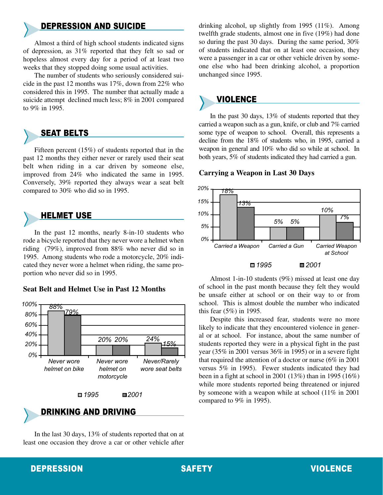### ➤DEPRESSION AND SUICIDE

Almost a third of high school students indicated signs of depression, as 31% reported that they felt so sad or hopeless almost every day for a period of at least two weeks that they stopped doing some usual activities.

The number of students who seriously considered suicide in the past 12 months was 17%, down from 22% who considered this in 1995. The number that actually made a suicide attempt declined much less; 8% in 2001 compared to 9% in 1995.

# ➤SEAT BELTS

Fifteen percent (15%) of students reported that in the past 12 months they either never or rarely used their seat belt when riding in a car driven by someone else, improved from 24% who indicated the same in 1995. Conversely, 39% reported they always wear a seat belt compared to 30% who did so in 1995.

# ➤HELMET USE

In the past 12 months, nearly 8-in-10 students who rode a bicycle reported that they never wore a helmet when riding (79%), improved from 88% who never did so in 1995. Among students who rode a motorcycle, 20% indicated they never wore a helmet when riding, the same proportion who never did so in 1995.

#### **Seat Belt and Helmet Use in Past 12 Months**





In the last 30 days, 13% of students reported that on at least one occasion they drove a car or other vehicle after drinking alcohol, up slightly from 1995 (11%). Among twelfth grade students, almost one in five (19%) had done so during the past 30 days. During the same period, 30% of students indicated that on at least one occasion, they were a passenger in a car or other vehicle driven by someone else who had been drinking alcohol, a proportion unchanged since 1995.

### **VIOLENCE**

In the past 30 days, 13% of students reported that they carried a weapon such as a gun, knife, or club and 7% carried some type of weapon to school. Overall, this represents a decline from the 18% of students who, in 1995, carried a weapon in general and 10% who did so while at school. In both years, 5% of students indicated they had carried a gun.

#### **Carrying a Weapon in Last 30 Days**



Almost 1-in-10 students (9%) missed at least one day of school in the past month because they felt they would be unsafe either at school or on their way to or from school. This is almost double the number who indicated this fear (5%) in 1995.

Despite this increased fear, students were no more likely to indicate that they encountered violence in general or at school. For instance, about the same number of students reported they were in a physical fight in the past year (35% in 2001 versus 36% in 1995) or in a severe fight that required the attention of a doctor or nurse (6% in 2001 versus 5% in 1995). Fewer students indicated they had been in a fight at school in 2001 (13%) than in 1995 (16%) while more students reported being threatened or injured by someone with a weapon while at school (11% in 2001 compared to 9% in 1995).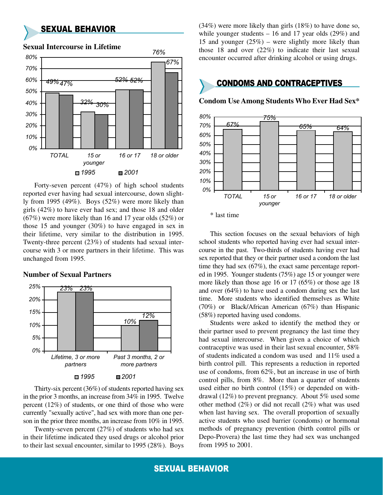#### ➤SEXUAL BEHAVIOR



**Sexual Intercourse in Lifetime**

Forty-seven percent (47%) of high school students reported ever having had sexual intercourse, down slightly from 1995 (49%). Boys (52%) were more likely than girls (42%) to have ever had sex; and those 18 and older (67%) were more likely than 16 and 17 year olds (52%) or those 15 and younger (30%) to have engaged in sex in their lifetime, very similar to the distribution in 1995. Twenty-three percent (23%) of students had sexual intercourse with 3 or more partners in their lifetime. This was unchanged from 1995.

#### **Number of Sexual Partners**



Thirty-six percent (36%) of students reported having sex in the prior 3 months, an increase from 34% in 1995. Twelve percent (12%) of students, or one third of those who were currently "sexually active", had sex with more than one person in the prior three months, an increase from 10% in 1995.

Twenty-seven percent (27%) of students who had sex in their lifetime indicated they used drugs or alcohol prior to their last sexual encounter, similar to 1995 (28%). Boys (34%) were more likely than girls (18%) to have done so, while younger students  $-16$  and 17 year olds (29%) and 15 and younger  $(25%)$  – were slightly more likely than those 18 and over (22%) to indicate their last sexual encounter occurred after drinking alcohol or using drugs.

# ➤CONDOMS AND CONTRACEPTIVES

**Condom Use Among Students Who Ever Had Sex\***



<sup>\*</sup> last time

This section focuses on the sexual behaviors of high school students who reported having ever had sexual intercourse in the past. Two-thirds of students having ever had sex reported that they or their partner used a condom the last time they had sex (67%), the exact same percentage reported in 1995. Younger students (75%) age 15 or younger were more likely than those age 16 or 17 (65%) or those age 18 and over (64%) to have used a condom during sex the last time. More students who identified themselves as White (70%) or Black/African American (67%) than Hispanic (58%) reported having used condoms.

Students were asked to identify the method they or their partner used to prevent pregnancy the last time they had sexual intercourse. When given a choice of which contraceptive was used in their last sexual encounter, 58% of students indicated a condom was used and 11% used a birth control pill. This represents a reduction in reported use of condoms, from 62%, but an increase in use of birth control pills, from 8%. More than a quarter of students used either no birth control (15%) or depended on withdrawal (12%) to prevent pregnancy. About 5% used some other method (2%) or did not recall (2%) what was used when last having sex. The overall proportion of sexually active students who used barrier (condoms) or hormonal methods of pregnancy prevention (birth control pills or Depo-Provera) the last time they had sex was unchanged from 1995 to 2001.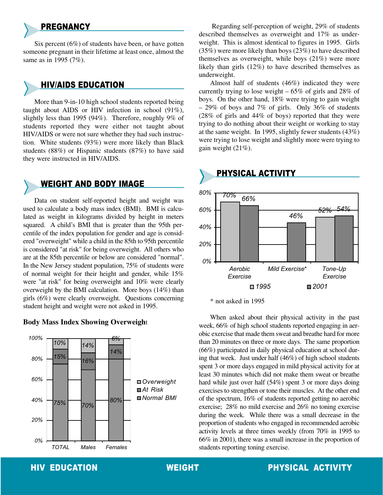**PREGNANCY** 

Six percent  $(6\%)$  of students have been, or have gotten someone pregnant in their lifetime at least once, almost the same as in 1995 (7%).

#### ➤HIV/AIDS EDUCATION

More than 9-in-10 high school students reported being taught about AIDS or HIV infection in school (91%), slightly less than 1995 (94%). Therefore, roughly 9% of students reported they were either not taught about HIV/AIDS or were not sure whether they had such instruction. White students (93%) were more likely than Black students (88%) or Hispanic students (87%) to have said they were instructed in HIV/AIDS.

## **WEIGHT AND BODY IMAGE**

Data on student self-reported height and weight was used to calculate a body mass index (BMI). BMI is calculated as weight in kilograms divided by height in meters squared. A child's BMI that is greater than the 95th percentile of the index population for gender and age is considered "overweight" while a child in the 85th to 95th percentile is considered "at risk" for being overweight. All others who are at the 85th percentile or below are considered "normal". In the New Jersey student population, 75% of students were of normal weight for their height and gender, while 15% were "at risk" for being overweight and 10% were clearly overweight by the BMI calculation. More boys (14%) than girls (6%) were clearly overweight. Questions concerning student height and weight were not asked in 1995.

#### **Body Mass Index Showing Overweigh**t



Regarding self-perception of weight, 29% of students described themselves as overweight and 17% as underweight. This is almost identical to figures in 1995. Girls (35%) were more likely than boys (23%) to have described themselves as overweight, while boys (21%) were more likely than girls (12%) to have described themselves as underweight.

Almost half of students (46%) indicated they were currently trying to lose weight  $-65\%$  of girls and 28% of boys. On the other hand, 18% were trying to gain weight  $-29\%$  of boys and 7% of girls. Only 36% of students (28% of girls and 44% of boys) reported that they were trying to do nothing about their weight or working to stay at the same weight. In 1995, slightly fewer students (43%) were trying to lose weight and slightly more were trying to gain weight (21%).



\* not asked in 1995

When asked about their physical activity in the past week, 66% of high school students reported engaging in aerobic exercise that made them sweat and breathe hard for more than 20 minutes on three or more days. The same proportion (66%) participated in daily physical education at school during that week. Just under half (46%) of high school students spent 3 or more days engaged in mild physical activity for at least 30 minutes which did not make them sweat or breathe hard while just over half (54%) spent 3 or more days doing exercises to strengthen or tone their muscles. At the other end of the spectrum, 16% of students reported getting no aerobic exercise; 28% no mild exercise and 26% no toning exercise during the week. While there was a small decrease in the proportion of students who engaged in recommended aerobic activity levels at three times weekly (from 70% in 1995 to 66% in 2001), there was a small increase in the proportion of students reporting toning exercise.

### HIV EDUCATION WEIGHT PHYSICAL ACTIVITY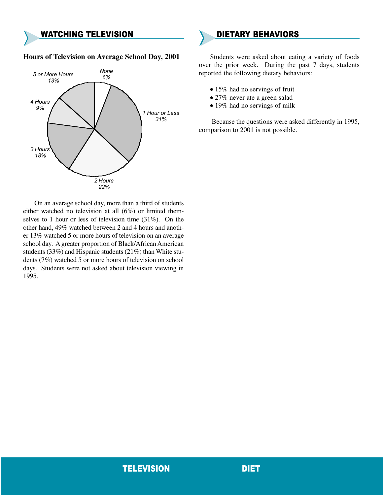#### **WATCHING TELEVISION**

#### **Hours of Television on Average School Day, 2001**



On an average school day, more than a third of students either watched no television at all (6%) or limited themselves to 1 hour or less of television time (31%). On the other hand, 49% watched between 2 and 4 hours and another 13% watched 5 or more hours of television on an average school day. A greater proportion of Black/African American students (33%) and Hispanic students (21%) than White students (7%) watched 5 or more hours of television on school days. Students were not asked about television viewing in 1995.

#### ➤DIETARY BEHAVIORS

Students were asked about eating a variety of foods over the prior week. During the past 7 days, students reported the following dietary behaviors:

- 15% had no servings of fruit
- 27% never ate a green salad
- 19% had no servings of milk

Because the questions were asked differently in 1995, comparison to 2001 is not possible.